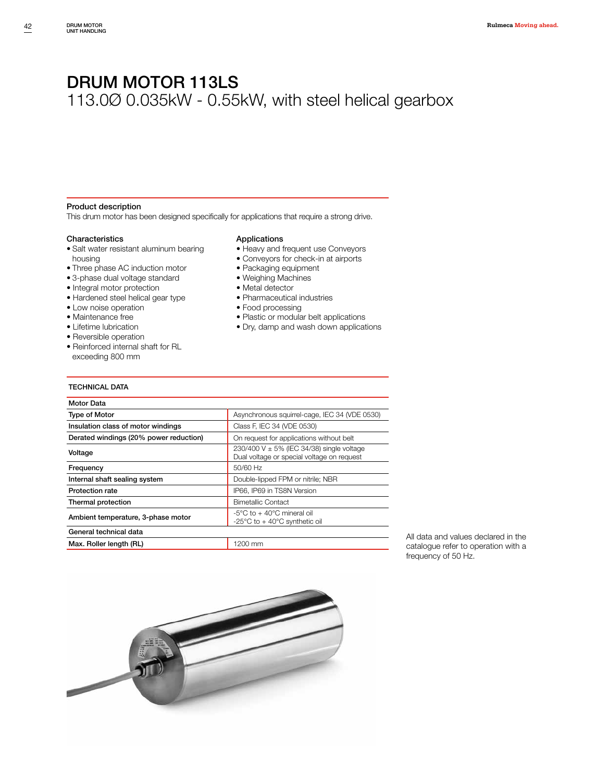# DRUM MOTOR 113LS

## 113.0Ø 0.035kW - 0.55kW, with steel helical gearbox

#### Product description

This drum motor has been designed specifically for applications that require a strong drive.

#### Characteristics

- Salt water resistant aluminum bearing housing
- Three phase AC induction motor
- 3-phase dual voltage standard
- Integral motor protection
- Hardened steel helical gear type
- Low noise operation
- Maintenance free
- Lifetime lubrication
- Reversible operation
- 
- Reinforced internal shaft for RL exceeding 800 mm

#### Applications

- Heavy and frequent use Conveyors
- Conveyors for check-in at airports
- Packaging equipment
- Weighing Machines
- Metal detector
- Pharmaceutical industries
- Food processing
- Plastic or modular belt applications
- Dry, damp and wash down applications

### TECHNICAL DATA

| Motor Data                             |                                                                                             |
|----------------------------------------|---------------------------------------------------------------------------------------------|
| <b>Type of Motor</b>                   | Asynchronous squirrel-cage, IEC 34 (VDE 0530)                                               |
| Insulation class of motor windings     | Class F, IEC 34 (VDE 0530)                                                                  |
| Derated windings (20% power reduction) | On request for applications without belt                                                    |
| Voltage                                | 230/400 V $\pm$ 5% (IEC 34/38) single voltage<br>Dual voltage or special voltage on request |
| Frequency                              | 50/60 Hz                                                                                    |
| Internal shaft sealing system          | Double-lipped FPM or nitrile; NBR                                                           |
| <b>Protection rate</b>                 | IP66, IP69 in TS8N Version                                                                  |
| Thermal protection                     | <b>Bimetallic Contact</b>                                                                   |
| Ambient temperature, 3-phase motor     | $-5^{\circ}$ C to $+40^{\circ}$ C mineral oil<br>-25°C to + 40°C synthetic oil              |
| General technical data                 |                                                                                             |
| Max. Roller length (RL)                | 1200 mm                                                                                     |

All data and values declared in the catalogue refer to operation with a frequency of 50 Hz.

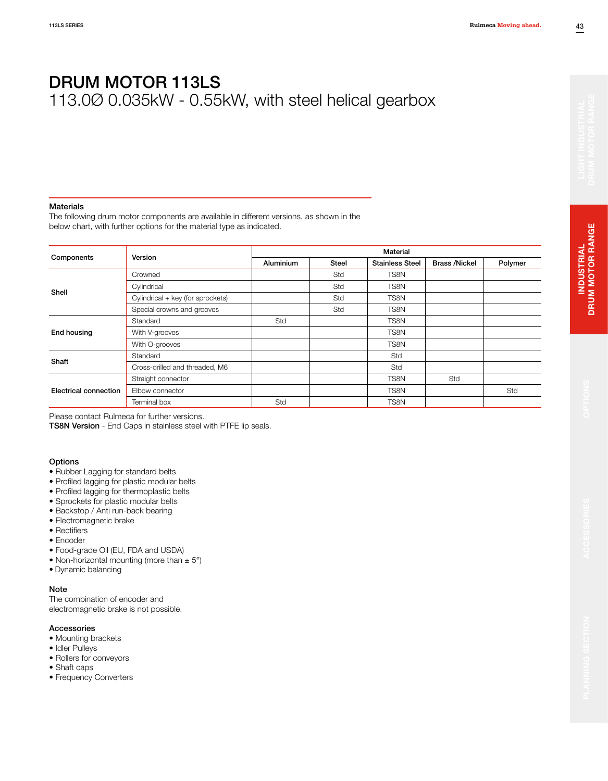#### Materials

The following drum motor components are available in different versions, as shown in the below chart, with further options for the material type as indicated.

|                       | Version                           | Material  |              |                        |                      |         |  |  |  |
|-----------------------|-----------------------------------|-----------|--------------|------------------------|----------------------|---------|--|--|--|
| Components            |                                   | Aluminium | <b>Steel</b> | <b>Stainless Steel</b> | <b>Brass /Nickel</b> | Polymer |  |  |  |
|                       | Crowned                           |           | Std          | TS8N                   |                      |         |  |  |  |
| Shell                 | Cylindrical                       |           | Std          | TS8N                   |                      |         |  |  |  |
|                       | Cylindrical + key (for sprockets) |           | Std          | TS8N                   |                      |         |  |  |  |
|                       | Special crowns and grooves        |           | Std          | TS8N                   |                      |         |  |  |  |
|                       | Standard                          | Std       |              | TS8N                   |                      |         |  |  |  |
| End housing           | With V-grooves                    |           |              | TS8N                   |                      |         |  |  |  |
|                       | With O-grooves                    |           |              | TS8N                   |                      |         |  |  |  |
|                       | Standard                          |           |              | Std                    |                      |         |  |  |  |
| Shaft                 | Cross-drilled and threaded, M6    |           |              | Std                    |                      |         |  |  |  |
| Electrical connection | Straight connector                |           |              | TS8N                   | Std                  |         |  |  |  |
|                       | Elbow connector                   |           |              | TS8N                   |                      | Std     |  |  |  |
|                       | Terminal box                      | Std       |              | TS8N                   |                      |         |  |  |  |

Please contact Rulmeca for further versions.

TS8N Version - End Caps in stainless steel with PTFE lip seals.

#### **Options**

- Rubber Lagging for standard belts
- Profiled lagging for plastic modular belts
- Profiled lagging for thermoplastic belts
- Sprockets for plastic modular belts
- Backstop / Anti run-back bearing
- Electromagnetic brake
- Rectifiers
- Encoder
- Food-grade Oil (EU, FDA and USDA)
- Non-horizontal mounting (more than  $\pm$  5°)
- Dynamic balancing

#### Note

The combination of encoder and electromagnetic brake is not possible.

#### Accessories

- Mounting brackets
- Idler Pulleys
- Rollers for conveyors
- Shaft caps
- Frequency Converters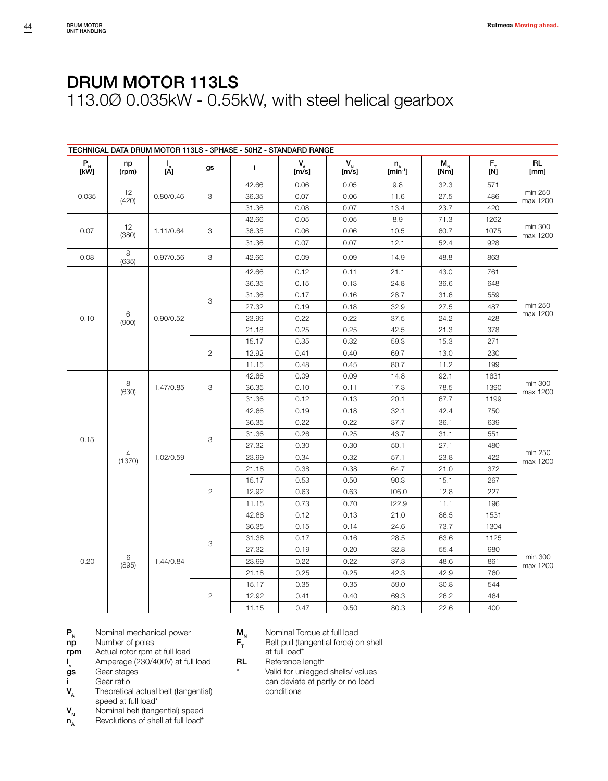|                                                                                                          |             |              |                | TECHNICAL DATA DRUM MOTOR 113LS - 3PHASE - 50HZ - STANDARD RANGE |               |               |                                          |                 |                                                                        |                     |
|----------------------------------------------------------------------------------------------------------|-------------|--------------|----------------|------------------------------------------------------------------|---------------|---------------|------------------------------------------|-----------------|------------------------------------------------------------------------|---------------------|
| $\begin{array}{c} \mathsf{P}_{_{\!\!\mathsf{N}}} \ \mathsf{[}\mathsf{k}\mathsf{W}\mathsf{]} \end{array}$ | np<br>(rpm) | <br>[A]      | gs             | j.                                                               | $V_{A}$ [m/s] | $V_{N}$ [m/s] | ${\sf n}_{\sf A}$<br>$[\text{min}^{-1}]$ | $M_{N}$<br>[Nm] | $\begin{bmatrix} \mathsf{F}_{\mathsf{T}} \ \mathsf{[N]} \end{bmatrix}$ | <b>RL</b><br>[mm]   |
|                                                                                                          |             |              | 42.66          | 0.06                                                             | 0.05          | 9.8           | 32.3                                     | 571             |                                                                        |                     |
| 0.035                                                                                                    | 12<br>(420) | 0.80/0.46    | 3              | 36.35                                                            | 0.07          | 0.06          | 11.6                                     | 27.5            | 486                                                                    | min 250<br>max 1200 |
|                                                                                                          |             |              |                | 31.36                                                            | 0.08          | 0.07          | 13.4                                     | 23.7            | 420                                                                    |                     |
|                                                                                                          |             |              |                | 42.66                                                            | 0.05          | 0.05          | 8.9                                      | 71.3            | 1262                                                                   |                     |
| 0.07                                                                                                     | 12<br>(380) | 1.11/0.64    | 3              | 36.35                                                            | 0.06          | 0.06          | 10.5                                     | 60.7            | 1075                                                                   | min 300<br>max 1200 |
|                                                                                                          |             |              |                | 31.36                                                            | 0.07          | 0.07          | 12.1                                     | 52.4            | 928                                                                    |                     |
| 0.08                                                                                                     | 8<br>(635)  | 0.97/0.56    | 3              | 42.66                                                            | 0.09          | 0.09          | 14.9                                     | 48.8            | 863                                                                    |                     |
|                                                                                                          |             |              |                | 42.66                                                            | 0.12          | 0.11          | 21.1                                     | 43.0            | 761                                                                    |                     |
|                                                                                                          |             |              |                | 36.35                                                            | 0.15          | 0.13          | 24.8                                     | 36.6            | 648                                                                    |                     |
|                                                                                                          |             |              | 3              | 31.36                                                            | 0.17          | 0.16          | 28.7                                     | 31.6            | 559                                                                    |                     |
|                                                                                                          |             |              |                | 27.32                                                            | 0.19          | 0.18          | 32.9                                     | 27.5            | 487                                                                    | min 250             |
| 0.10                                                                                                     | 6<br>(900)  | 0.90/0.52    |                | 23.99                                                            | 0.22          | 0.22          | 37.5                                     | 24.2            | 428                                                                    | max 1200            |
|                                                                                                          |             |              |                | 21.18                                                            | 0.25          | 0.25          | 42.5                                     | 21.3            | 378                                                                    |                     |
|                                                                                                          |             |              | 15.17          | 0.35                                                             | 0.32          | 59.3          | 15.3                                     | 271             |                                                                        |                     |
|                                                                                                          |             | $\mathbf{2}$ | 12.92          | 0.41                                                             | 0.40          | 69.7          | 13.0                                     | 230             |                                                                        |                     |
|                                                                                                          |             |              |                | 11.15                                                            | 0.48          | 0.45          | 80.7                                     | 11.2            | 199                                                                    |                     |
|                                                                                                          |             |              | 42.66          | 0.09                                                             | 0.09          | 14.8          | 92.1                                     | 1631            |                                                                        |                     |
|                                                                                                          | 8<br>(630)  | 1.47/0.85    | 3              | 36.35                                                            | 0.10          | 0.11          | 17.3                                     | 78.5            | 1390                                                                   | min 300<br>max 1200 |
|                                                                                                          |             |              |                | 31.36                                                            | 0.12          | 0.13          | 20.1                                     | 67.7            | 1199                                                                   |                     |
|                                                                                                          |             |              |                | 42.66                                                            | 0.19          | 0.18          | 32.1                                     | 42.4            | 750                                                                    |                     |
|                                                                                                          |             |              |                | 36.35                                                            | 0.22          | 0.22          | 37.7                                     | 36.1            | 639                                                                    |                     |
|                                                                                                          |             |              | 3              | 31.36                                                            | 0.26          | 0.25          | 43.7                                     | 31.1            | 551                                                                    |                     |
| 0.15                                                                                                     |             |              |                | 27.32                                                            | 0.30          | 0.30          | 50.1                                     | 27.1            | 480                                                                    |                     |
|                                                                                                          | 4<br>(1370) | 1.02/0.59    |                | 23.99                                                            | 0.34          | 0.32          | 57.1                                     | 23.8            | 422                                                                    | min 250<br>max 1200 |
|                                                                                                          |             |              |                | 21.18                                                            | 0.38          | 0.38          | 64.7                                     | 21.0            | 372                                                                    |                     |
|                                                                                                          |             |              |                | 15.17                                                            | 0.53          | 0.50          | 90.3                                     | 15.1            | 267                                                                    |                     |
|                                                                                                          |             |              | $\overline{2}$ | 12.92                                                            | 0.63          | 0.63          | 106.0                                    | 12.8            | 227                                                                    |                     |
|                                                                                                          |             |              |                | 11.15                                                            | 0.73          | 0.70          | 122.9                                    | 11.1            | 196                                                                    |                     |
|                                                                                                          |             |              |                | 42.66                                                            | 0.12          | 0.13          | 21.0                                     | 86.5            | 1531                                                                   |                     |
|                                                                                                          |             |              |                | 36.35                                                            | 0.15          | 0.14          | 24.6                                     | 73.7            | 1304                                                                   |                     |
|                                                                                                          |             |              | 3              | 31.36                                                            | 0.17          | 0.16          | 28.5                                     | 63.6            | 1125                                                                   |                     |
|                                                                                                          |             |              |                | 27.32                                                            | 0.19          | 0.20          | 32.8                                     | 55.4            | 980                                                                    |                     |
| 0.20                                                                                                     | 6<br>(895)  | 1.44/0.84    |                | 23.99                                                            | 0.22          | 0.22          | 37.3                                     | 48.6            | 861                                                                    | min 300<br>max 1200 |
|                                                                                                          |             |              |                | 21.18                                                            | 0.25          | 0.25          | 42.3                                     | 42.9            | 760                                                                    |                     |
|                                                                                                          |             |              |                | 15.17                                                            | 0.35          | 0.35          | 59.0                                     | 30.8            | 544                                                                    |                     |
|                                                                                                          |             |              | $\overline{c}$ | 12.92                                                            | 0.41          | 0.40          | 69.3                                     | 26.2            | 464                                                                    |                     |
|                                                                                                          |             |              | 11.15          | 0.47                                                             | 0.50          | 80.3          | 22.6                                     | 400             |                                                                        |                     |

- $P_N$  Nominal mechanical power<br> **np** Number of poles
- Number of poles
- rpm Actual rotor rpm at full load

 $\frac{1}{g}$ s *<sup>n</sup>*Amperage (230/400V) at full load

- Gear stages
- i Gear ratio
- $V_A$  Theoretical actual belt (tangential) speed at full load\*
- $V_{N}$  Nominal belt (tangential) speed<br>  $n_{N}$  Revolutions of shell at full load\*
- Revolutions of shell at full load\*
- 
- $M_N$  Nominal Torque at full load<br> $F_T$  Belt pull (tangential force) o Belt pull (tangential force) on shell at full load\*
- RL Reference length
	- Valid for unlagged shells/ values can deviate at partly or no load conditions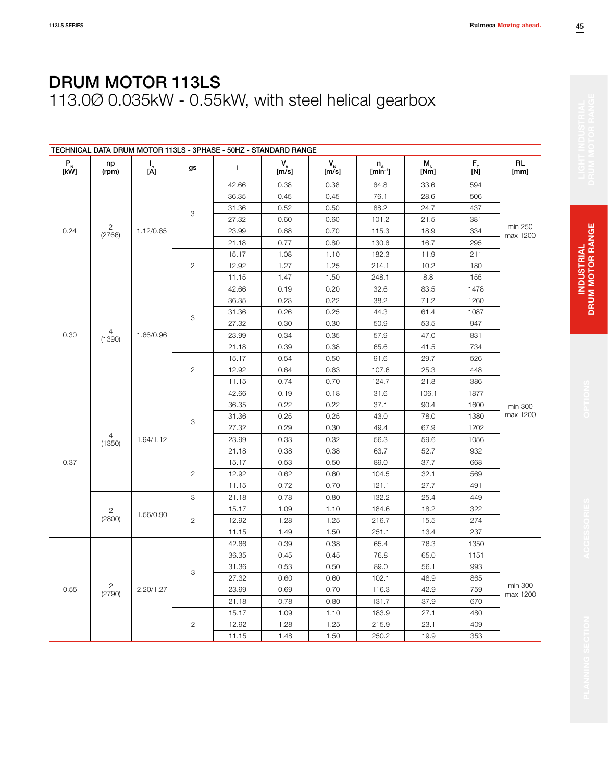|              |                          |                 |              | TECHNICAL DATA DRUM MOTOR 113LS - 3PHASE - 50HZ - STANDARD RANGE |               |                                 |                            |               |                  |                     |      |  |
|--------------|--------------------------|-----------------|--------------|------------------------------------------------------------------|---------------|---------------------------------|----------------------------|---------------|------------------|---------------------|------|--|
| $P_{N}$ [kW] | np<br>(rpm)              | $\frac{1}{[A]}$ | gs           | j.                                                               | $V_{A}$ [m/s] | $\mathsf{V}_{\mathsf{N}}$ [m/s] | $n_A$ [min <sup>-1</sup> ] | $M_N$<br>[Nm] | $F_{\pm}$<br>[N] | <b>RL</b><br>[mm]   |      |  |
|              |                          |                 | 42.66        | 0.38                                                             | 0.38          | 64.8                            | 33.6                       | 594           |                  |                     |      |  |
|              |                          |                 |              | 36.35                                                            | 0.45          | 0.45                            | 76.1                       | 28.6          | 506              |                     |      |  |
|              |                          |                 |              | 31.36                                                            | 0.52          | 0.50                            | 88.2                       | 24.7          | 437              |                     |      |  |
|              |                          |                 | 3            | 27.32                                                            | 0.60          | 0.60                            | 101.2                      | 21.5          | 381              |                     |      |  |
| 0.24         | $\mathbf{2}$<br>(2766)   | 1.12/0.65       |              | 23.99                                                            | 0.68          | 0.70                            | 115.3                      | 18.9          | 334              | min 250<br>max 1200 |      |  |
|              |                          |                 |              | 21.18                                                            | 0.77          | 0.80                            | 130.6                      | 16.7          | 295              |                     |      |  |
|              |                          |                 |              | 15.17                                                            | 1.08          | 1.10                            | 182.3                      | 11.9          | 211              |                     |      |  |
|              |                          |                 | $\mathbf{2}$ | 12.92                                                            | 1.27          | 1.25                            | 214.1                      | 10.2          | 180              |                     |      |  |
|              |                          |                 |              | 11.15                                                            | 1.47          | 1.50                            | 248.1                      | 8.8           | 155              |                     |      |  |
|              |                          |                 |              | 42.66                                                            | 0.19          | 0.20                            | 32.6                       | 83.5          | 1478             |                     |      |  |
|              |                          |                 |              | 36.35                                                            | 0.23          | 0.22                            | 38.2                       | 71.2          | 1260             |                     |      |  |
|              |                          |                 | 3            | 31.36                                                            | 0.26          | 0.25                            | 44.3                       | 61.4          | 1087             |                     |      |  |
|              |                          |                 |              | 27.32                                                            | 0.30          | 0.30                            | 50.9                       | 53.5          | 947              |                     |      |  |
| 0.30         | 4<br>(1390)              | 1.66/0.96       |              | 23.99                                                            | 0.34          | 0.35                            | 57.9                       | 47.0          | 831              |                     |      |  |
|              |                          |                 |              | 21.18                                                            | 0.39          | 0.38                            | 65.6                       | 41.5          | 734              |                     |      |  |
|              |                          |                 | 15.17        | 0.54                                                             | 0.50          | 91.6                            | 29.7                       | 526           |                  |                     |      |  |
|              |                          | $\overline{2}$  | 12.92        | 0.64                                                             | 0.63          | 107.6                           | 25.3                       | 448           |                  |                     |      |  |
|              |                          |                 | 11.15        | 0.74                                                             | 0.70          | 124.7                           | 21.8                       | 386           |                  |                     |      |  |
|              |                          |                 | 42.66        | 0.19                                                             | 0.18          | 31.6                            | 106.1                      | 1877          |                  |                     |      |  |
|              |                          | 1.94/1.12       |              | 36.35                                                            | 0.22          | 0.22                            | 37.1                       | 90.4          | 1600             | min 300             |      |  |
|              |                          |                 | 3            | 31.36                                                            | 0.25          | 0.25                            | 43.0                       | 78.0          | 1380             | max 1200            |      |  |
|              |                          |                 |              |                                                                  |               | 27.32                           | 0.29                       | 0.30          | 49.4             | 67.9                | 1202 |  |
|              | $\overline{4}$<br>(1350) |                 |              | 23.99                                                            | 0.33          | 0.32                            | 56.3                       | 59.6          | 1056             |                     |      |  |
|              |                          |                 |              | 21.18                                                            | 0.38          | 0.38                            | 63.7                       | 52.7          | 932              |                     |      |  |
| 0.37         |                          |                 |              | 15.17                                                            | 0.53          | 0.50                            | 89.0                       | 37.7          | 668              |                     |      |  |
|              |                          |                 | $\mathbf{2}$ | 12.92                                                            | 0.62          | 0.60                            | 104.5                      | 32.1          | 569              |                     |      |  |
|              |                          |                 |              | 11.15                                                            | 0.72          | 0.70                            | 121.1                      | 27.7          | 491              |                     |      |  |
|              |                          |                 | 3            | 21.18                                                            | 0.78          | 0.80                            | 132.2                      | 25.4          | 449              |                     |      |  |
|              | $\overline{2}$           | 1.56/0.90       |              | 15.17                                                            | 1.09          | 1.10                            | 184.6                      | 18.2          | 322              |                     |      |  |
|              | (2800)                   |                 | $\mathbf{2}$ | 12.92                                                            | 1.28          | 1.25                            | 216.7                      | 15.5          | 274              |                     |      |  |
|              |                          |                 |              | 11.15                                                            | 1.49          | 1.50                            | 251.1                      | 13.4          | 237              |                     |      |  |
|              |                          |                 |              | 42.66                                                            | 0.39          | 0.38                            | 65.4                       | 76.3          | 1350             |                     |      |  |
|              |                          |                 |              | 36.35                                                            | 0.45          | 0.45                            | 76.8                       | 65.0          | 1151             |                     |      |  |
|              |                          |                 | 3            | 31.36                                                            | 0.53          | 0.50                            | 89.0                       | 56.1          | 993              |                     |      |  |
|              |                          |                 |              | 27.32                                                            | 0.60          | 0.60                            | 102.1                      | 48.9          | 865              |                     |      |  |
| 0.55         | $\overline{c}$<br>(2790) | 2.20/1.27       |              | 23.99                                                            | 0.69          | 0.70                            | 116.3                      | 42.9          | 759              | min 300<br>max 1200 |      |  |
|              |                          |                 |              | 21.18                                                            | 0.78          | 0.80                            | 131.7                      | 37.9          | 670              |                     |      |  |
|              |                          |                 |              | 15.17                                                            | 1.09          | 1.10                            | 183.9                      | 27.1          | 480              |                     |      |  |
|              |                          |                 | $\mathbf{2}$ | 12.92                                                            | 1.28          | 1.25                            | 215.9                      | 23.1          | 409              |                     |      |  |
|              |                          |                 | 11.15        | 1.48                                                             | 1.50          | 250.2                           | 19.9                       | 353           |                  |                     |      |  |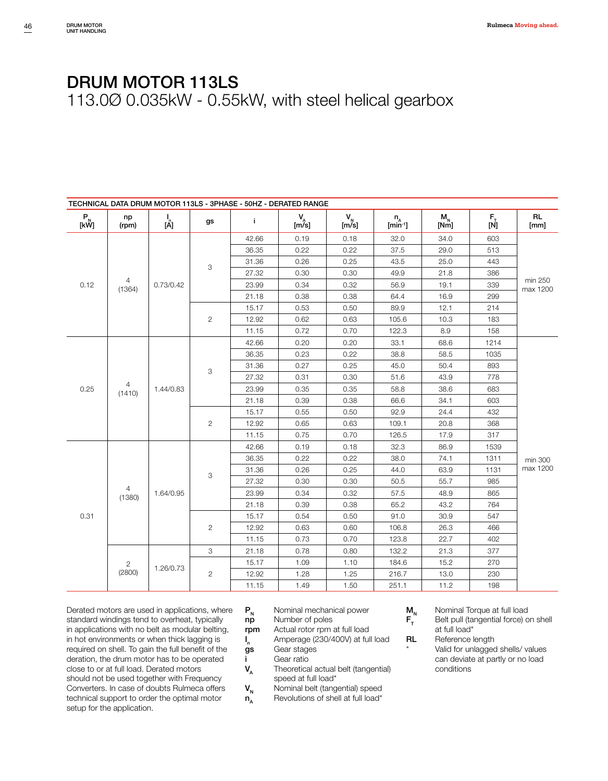| TECHNICAL DATA DRUM MOTOR 113LS - 3PHASE - 50HZ - DERATED RANGE                       |                |                 |                |       |                   |                                    |                            |                                    |                    |                     |  |  |  |  |  |  |  |  |  |  |              |       |      |      |       |      |     |
|---------------------------------------------------------------------------------------|----------------|-----------------|----------------|-------|-------------------|------------------------------------|----------------------------|------------------------------------|--------------------|---------------------|--|--|--|--|--|--|--|--|--|--|--------------|-------|------|------|-------|------|-----|
| $\begin{array}{c} \mathsf{P}_{_{\!\!N}}\ \mathsf{[}\mathsf{kW}\mathsf{]} \end{array}$ | np<br>(rpm)    | $\frac{1}{[A]}$ | gs             | j.    | $V_{\rm A}$ [m/s] | $\mathsf{V}_{_{\mathsf{N}}}$ [m/s] | $n_A$ [min <sup>-1</sup> ] | $\mathsf{M}_{_\mathsf{N}}$<br>[Nm] | $F_{\rm T}$<br>[N] | <b>RL</b><br>[mm]   |  |  |  |  |  |  |  |  |  |  |              |       |      |      |       |      |     |
|                                                                                       |                |                 | 42.66          | 0.19  | 0.18              | 32.0                               | 34.0                       | 603                                |                    |                     |  |  |  |  |  |  |  |  |  |  |              |       |      |      |       |      |     |
|                                                                                       |                |                 |                | 36.35 | 0.22              | 0.22                               | 37.5                       | 29.0                               | 513                |                     |  |  |  |  |  |  |  |  |  |  |              |       |      |      |       |      |     |
|                                                                                       |                |                 | 3              | 31.36 | 0.26              | 0.25                               | 43.5                       | 25.0                               | 443                |                     |  |  |  |  |  |  |  |  |  |  |              |       |      |      |       |      |     |
|                                                                                       |                |                 |                | 27.32 | 0.30              | 0.30                               | 49.9                       | 21.8                               | 386                |                     |  |  |  |  |  |  |  |  |  |  |              |       |      |      |       |      |     |
| 0.12                                                                                  | 4<br>(1364)    | 0.73/0.42       |                | 23.99 | 0.34              | 0.32                               | 56.9                       | 19.1                               | 339                | min 250<br>max 1200 |  |  |  |  |  |  |  |  |  |  |              |       |      |      |       |      |     |
|                                                                                       |                |                 |                | 21.18 | 0.38              | 0.38                               | 64.4                       | 16.9                               | 299                |                     |  |  |  |  |  |  |  |  |  |  |              |       |      |      |       |      |     |
|                                                                                       |                |                 |                | 15.17 | 0.53              | 0.50                               | 89.9                       | 12.1                               | 214                |                     |  |  |  |  |  |  |  |  |  |  |              |       |      |      |       |      |     |
|                                                                                       |                |                 | $\overline{2}$ | 12.92 | 0.62              | 0.63                               | 105.6                      | 10.3                               | 183                |                     |  |  |  |  |  |  |  |  |  |  |              |       |      |      |       |      |     |
|                                                                                       |                |                 |                | 11.15 | 0.72              | 0.70                               | 122.3                      | 8.9                                | 158                |                     |  |  |  |  |  |  |  |  |  |  |              |       |      |      |       |      |     |
|                                                                                       |                |                 |                | 42.66 | 0.20              | 0.20                               | 33.1                       | 68.6                               | 1214               |                     |  |  |  |  |  |  |  |  |  |  |              |       |      |      |       |      |     |
|                                                                                       |                | 1.44/0.83       |                | 36.35 | 0.23              | 0.22                               | 38.8                       | 58.5                               | 1035               |                     |  |  |  |  |  |  |  |  |  |  |              |       |      |      |       |      |     |
|                                                                                       |                |                 | 3              | 31.36 | 0.27              | 0.25                               | 45.0                       | 50.4                               | 893                |                     |  |  |  |  |  |  |  |  |  |  |              |       |      |      |       |      |     |
|                                                                                       |                |                 |                | 27.32 | 0.31              | 0.30                               | 51.6                       | 43.9                               | 778                |                     |  |  |  |  |  |  |  |  |  |  |              |       |      |      |       |      |     |
| 0.25                                                                                  | 4<br>(1410)    |                 |                | 23.99 | 0.35              | 0.35                               | 58.8                       | 38.6                               | 683                |                     |  |  |  |  |  |  |  |  |  |  |              |       |      |      |       |      |     |
|                                                                                       |                |                 |                | 21.18 | 0.39              | 0.38                               | 66.6                       | 34.1                               | 603                |                     |  |  |  |  |  |  |  |  |  |  |              |       |      |      |       |      |     |
|                                                                                       |                |                 |                |       | 15.17             | 0.55                               | 0.50                       | 92.9                               | 24.4               | 432                 |  |  |  |  |  |  |  |  |  |  |              |       |      |      |       |      |     |
|                                                                                       |                |                 |                |       |                   |                                    |                            |                                    |                    |                     |  |  |  |  |  |  |  |  |  |  | $\mathbf{2}$ | 12.92 | 0.65 | 0.63 | 109.1 | 20.8 | 368 |
|                                                                                       |                |                 |                | 11.15 | 0.75              | 0.70                               | 126.5                      | 17.9                               | 317                |                     |  |  |  |  |  |  |  |  |  |  |              |       |      |      |       |      |     |
|                                                                                       |                |                 |                | 42.66 | 0.19              | 0.18                               | 32.3                       | 86.9                               | 1539               |                     |  |  |  |  |  |  |  |  |  |  |              |       |      |      |       |      |     |
|                                                                                       |                |                 |                | 36.35 | 0.22              | 0.22                               | 38.0                       | 74.1                               | 1311               | min 300             |  |  |  |  |  |  |  |  |  |  |              |       |      |      |       |      |     |
|                                                                                       |                |                 | 3              | 31.36 | 0.26              | 0.25                               | 44.0                       | 63.9                               | 1131               | max 1200            |  |  |  |  |  |  |  |  |  |  |              |       |      |      |       |      |     |
|                                                                                       |                |                 |                | 27.32 | 0.30              | 0.30                               | 50.5                       | 55.7                               | 985                |                     |  |  |  |  |  |  |  |  |  |  |              |       |      |      |       |      |     |
|                                                                                       | 4<br>(1380)    | 1.64/0.95       |                | 23.99 | 0.34              | 0.32                               | 57.5                       | 48.9                               | 865                |                     |  |  |  |  |  |  |  |  |  |  |              |       |      |      |       |      |     |
|                                                                                       |                |                 |                | 21.18 | 0.39              | 0.38                               | 65.2                       | 43.2                               | 764                |                     |  |  |  |  |  |  |  |  |  |  |              |       |      |      |       |      |     |
| 0.31                                                                                  |                |                 |                | 15.17 | 0.54              | 0.50                               | 91.0                       | 30.9                               | 547                |                     |  |  |  |  |  |  |  |  |  |  |              |       |      |      |       |      |     |
|                                                                                       |                |                 | $\overline{2}$ | 12.92 | 0.63              | 0.60                               | 106.8                      | 26.3                               | 466                |                     |  |  |  |  |  |  |  |  |  |  |              |       |      |      |       |      |     |
|                                                                                       |                |                 |                | 11.15 | 0.73              | 0.70                               | 123.8                      | 22.7                               | 402                |                     |  |  |  |  |  |  |  |  |  |  |              |       |      |      |       |      |     |
|                                                                                       |                |                 | 3              | 21.18 | 0.78              | 0.80                               | 132.2                      | 21.3                               | 377                |                     |  |  |  |  |  |  |  |  |  |  |              |       |      |      |       |      |     |
|                                                                                       | $\overline{c}$ | 1.26/0.73       |                | 15.17 | 1.09              | 1.10                               | 184.6                      | 15.2                               | 270                |                     |  |  |  |  |  |  |  |  |  |  |              |       |      |      |       |      |     |
|                                                                                       | (2800)         |                 | $\overline{c}$ | 12.92 | 1.28              | 1.25                               | 216.7                      | 13.0                               | 230                |                     |  |  |  |  |  |  |  |  |  |  |              |       |      |      |       |      |     |
|                                                                                       |                |                 |                | 11.15 | 1.49              | 1.50                               | 251.1                      | 11.2                               | 198                |                     |  |  |  |  |  |  |  |  |  |  |              |       |      |      |       |      |     |

Derated motors are used in applications, where standard windings tend to overheat, typically in applications with no belt as modular belting, in hot environments or when thick lagging is required on shell. To gain the full benefit of the deration, the drum motor has to be operated close to or at full load. Derated motors should not be used together with Frequency Converters. In case of doubts Rulmeca offers technical support to order the optimal motor setup for the application.

- $P_N$  Nominal mechanical power<br> **np** Number of poles
- Number of poles
- rpm Actual rotor rpm at full load
- $\mathbf{I}_{n}$ **I**<sub>n</sub> Amperage (230/400V) at full load **gs** Gear stages
- Gear stages
- i Gear ratio
- $V_A$  Theoretical actual belt (tangential) speed at full load\*
- $V_{N}$  Nominal belt (tangential) speed<br> $n_{A}$  Revolutions of shell at full load\*
	- Revolutions of shell at full load\*

- $M_N$  Nominal Torque at full load<br> $F_T$  Belt pull (tangential force) o Belt pull (tangential force) on shell at full load\*
- 
- RL Reference length Valid for unlagged shells/ values can deviate at partly or no load conditions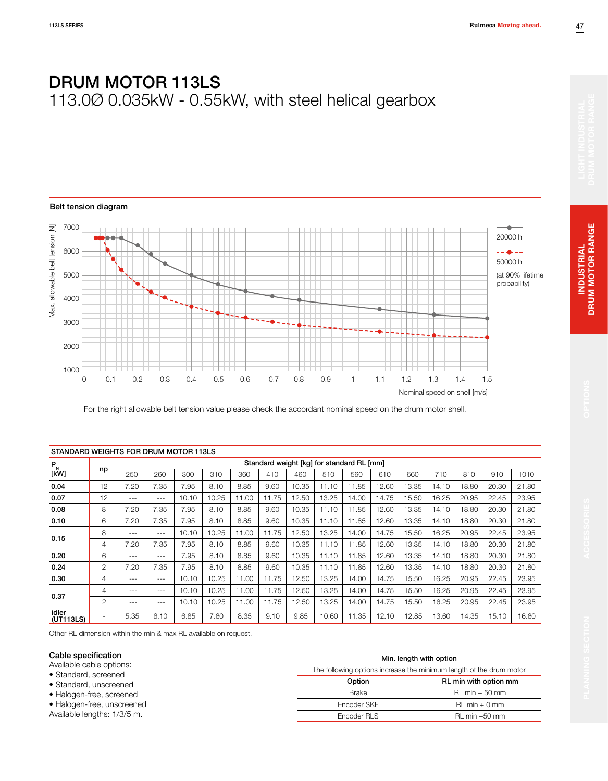#### Belt tension diagram



For the right allowable belt tension value please check the accordant nominal speed on the drum motor shell.

| STANDARD WEIGHTS FOR DRUM MOTOR 113LS |                |         |                                           |       |       |       |       |       |       |       |       |       |       |       |       |       |
|---------------------------------------|----------------|---------|-------------------------------------------|-------|-------|-------|-------|-------|-------|-------|-------|-------|-------|-------|-------|-------|
| $P_{N}$                               |                |         | Standard weight [kg] for standard RL [mm] |       |       |       |       |       |       |       |       |       |       |       |       |       |
| [kW]                                  | np             | 250     | 260                                       | 300   | 310   | 360   | 410   | 460   | 510   | 560   | 610   | 660   | 710   | 810   | 910   | 1010  |
| 0.04                                  | 12             | 7.20    | 7.35                                      | 7.95  | 8.10  | 8.85  | 9.60  | 10.35 | 11.10 | 11.85 | 12.60 | 13.35 | 14.10 | 18.80 | 20.30 | 21.80 |
| 0.07                                  | 12             | $---$   | $- - -$                                   | 10.10 | 10.25 | 11.00 | 11.75 | 12.50 | 13.25 | 14.00 | 14.75 | 15.50 | 16.25 | 20.95 | 22.45 | 23.95 |
| 0.08                                  | 8              | 7.20    | 7.35                                      | 7.95  | 8.10  | 8.85  | 9.60  | 10.35 | 11.10 | 11.85 | 12.60 | 13.35 | 14.10 | 18.80 | 20.30 | 21.80 |
| 0.10                                  | 6              | 7.20    | 7.35                                      | 7.95  | 8.10  | 8.85  | 9.60  | 10.35 | 11.10 | 11.85 | 12.60 | 13.35 | 14.10 | 18.80 | 20.30 | 21.80 |
| 0.15                                  | 8              | $- - -$ | $- - -$                                   | 10.10 | 10.25 | 11.00 | 11.75 | 12.50 | 13.25 | 14.00 | 14.75 | 15.50 | 16.25 | 20.95 | 22.45 | 23.95 |
|                                       | 4              | 7.20    | 7.35                                      | 7.95  | 8.10  | 8.85  | 9.60  | 10.35 | 11.10 | 11.85 | 12.60 | 13.35 | 14.10 | 18.80 | 20.30 | 21.80 |
| 0.20                                  | 6              | $---$   | $- - -$                                   | 7.95  | 8.10  | 8.85  | 9.60  | 10.35 | 11.10 | 11.85 | 12.60 | 13.35 | 14.10 | 18.80 | 20.30 | 21.80 |
| 0.24                                  | $\mathbf{2}$   | 7.20    | 7.35                                      | 7.95  | 8.10  | 8.85  | 9.60  | 10.35 | 11.10 | 11.85 | 12.60 | 13.35 | 14.10 | 18.80 | 20.30 | 21.80 |
| 0.30                                  | 4              | $- - -$ | $- - -$                                   | 10.10 | 10.25 | 11.00 | 11.75 | 12.50 | 13.25 | 14.00 | 14.75 | 15.50 | 16.25 | 20.95 | 22.45 | 23.95 |
| 0.37                                  | 4              | $---$   | $- - -$                                   | 10.10 | 10.25 | 11.00 | 11.75 | 12.50 | 13.25 | 14.00 | 14.75 | 15.50 | 16.25 | 20.95 | 22.45 | 23.95 |
|                                       | 2              | $---$   | $- - -$                                   | 10.10 | 10.25 | 11.00 | 11.75 | 12.50 | 13.25 | 14.00 | 14.75 | 15.50 | 16.25 | 20.95 | 22.45 | 23.95 |
| idler<br>(UT113LS)                    | $\overline{a}$ | 5.35    | 6.10                                      | 6.85  | 7.60  | 8.35  | 9.10  | 9.85  | 10.60 | 11.35 | 12.10 | 12.85 | 13.60 | 14.35 | 15.10 | 16.60 |

Other RL dimension within the min & max RL available on request.

#### Cable specification

Available cable options:

- Standard, screened
- Standard, unscreened
- Halogen-free, screened

• Halogen-free, unscreened Available lengths: 1/3/5 m.

Min. length with option The following options increase the minimum length of the drum motor Option RL min with option mm Brake RL min + 50 mm Encoder SKF RL min + 0 mm Encoder RLS RL min +50 mm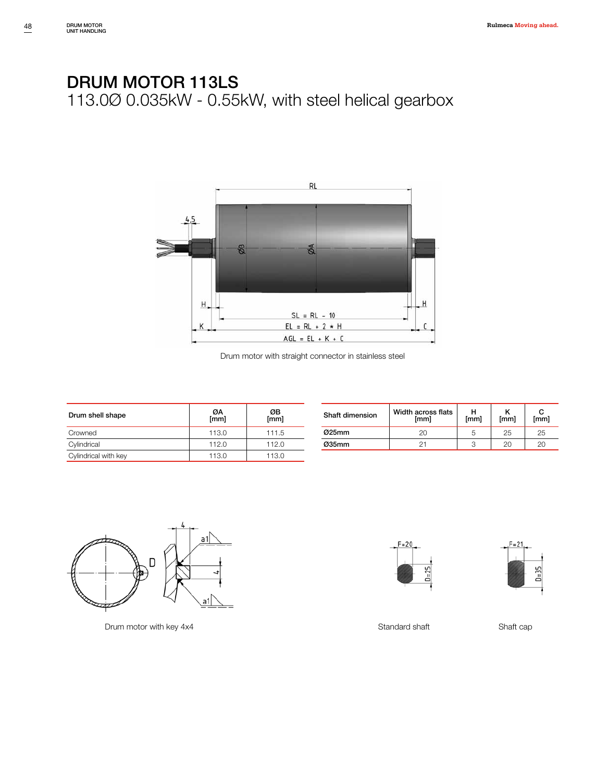

Drum motor with straight connector in stainless steel

| Drum shell shape     | ØΑ<br>[mm] | ØΒ<br>[mm] |
|----------------------|------------|------------|
| Crowned              | 113.0      | 111.5      |
| Cylindrical          | 112.0      | 112.0      |
| Cylindrical with key | 113.0      | 113.0      |

| Shaft dimension | Width across flats<br>[mm] | [mm] | [mm] | [mm] |  |
|-----------------|----------------------------|------|------|------|--|
| $025$ mm        | 20                         | b    | 25   | 25   |  |
| Ø35mm           |                            | З    | 20   | 20   |  |



Drum motor with key 4x4 Standard shaft Shaft cap